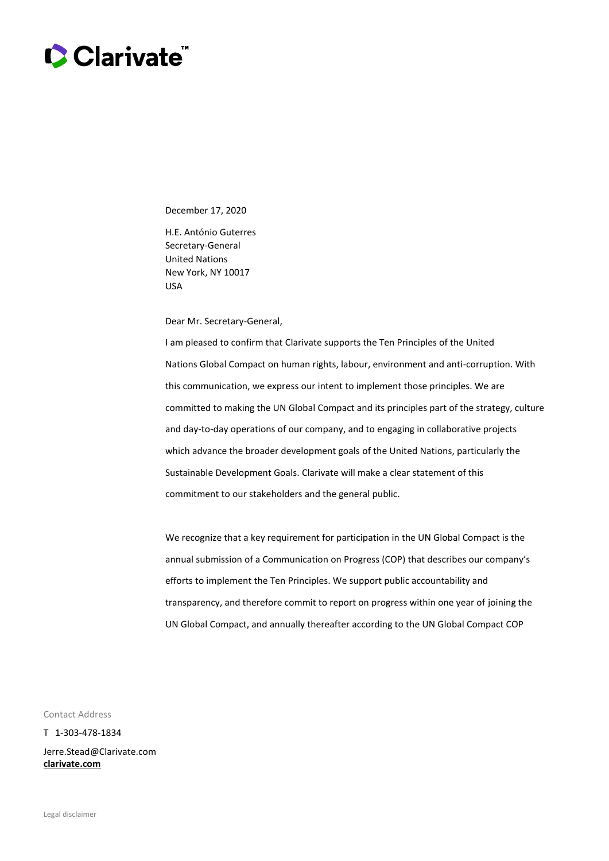

December 17, 2020

H.E. António Guterres Secretary-General United Nations New York, NY 10017 USA

Dear Mr. Secretary-General,

I am pleased to confirm that Clarivate supports the Ten Principles of the United Nations Global Compact on human rights, labour, environment and anti-corruption. With this communication, we express our intent to implement those principles. We are committed to making the UN Global Compact and its principles part of the strategy, culture and day-to-day operations of our company, and to engaging in collaborative projects which advance the broader development goals of the United Nations, particularly the Sustainable Development Goals. Clarivate will make a clear statement of this commitment to our stakeholders and the general public.

We recognize that a key requirement for participation in the UN Global Compact is the annual submission of a Communication on Progress (COP) that describes our company's efforts to implement the Ten Principles. We support public accountability and transparency, and therefore commit to report on progress within one year of joining the UN Global Compact, and annually thereafter according to the UN Global Compact COP

Contact Address

T 1-303-478-1834

Jerre.Stead@Clarivate.com **[clarivate.com](http://www.clarivate.com/)**

Legal disclaimer